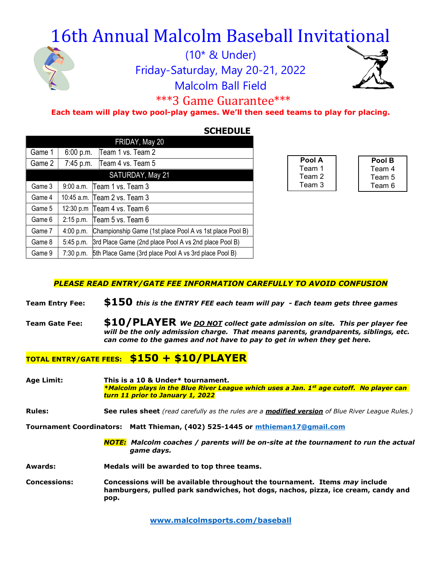# 16th Annual Malcolm Baseball Invitational



(10\* & Under) Friday-Saturday, May 20-21, 2022 Malcolm Ball Field



### \*\*\*3 Game Guarantee\*\*\*

#### Each team will play two pool-play games. We'll then seed teams to play for placing.

#### **SCHEDULE**

| FRIDAY, May 20 |             |                                                          |  |  |
|----------------|-------------|----------------------------------------------------------|--|--|
| Game 1         | 6:00 p.m.   | Team 1 vs. Team 2                                        |  |  |
| Game 2         | 7:45 p.m.   | Team 4 vs. Team 5                                        |  |  |
|                |             | SATURDAY, May 21                                         |  |  |
| Game 3         |             | 9:00 a.m. Team 1 vs. Team 3                              |  |  |
| Game 4         |             | 10:45 a.m. Team 2 vs. Team 3                             |  |  |
| Game 5         |             | 12:30 p.m   Team 4 vs. Team 6                            |  |  |
| Game 6         | $2:15$ p.m. | Team 5 vs. Team 6                                        |  |  |
| Game 7         | 4:00 p.m.   | Championship Game (1st place Pool A vs 1st place Pool B) |  |  |
| Game 8         | 5:45 p.m.   | 3rd Place Game (2nd place Pool A vs 2nd place Pool B)    |  |  |
| Game 9         | 7:30 p.m.   | 5th Place Game (3rd place Pool A vs 3rd place Pool B)    |  |  |

| Pool A | Pool B |  |  |
|--------|--------|--|--|
| Team 1 | Team 4 |  |  |
| Team 2 | Team 5 |  |  |
| Team 3 | Team 6 |  |  |

#### PLEASE READ ENTRY/GATE FEE INFORMATION CAREFULLY TO AVOID CONFUSION

- Team Entry Fee:  $$150$  this is the ENTRY FEE each team will pay Each team gets three games
- Team Gate Fee:  $$10/PLAYER$  We DO NOT collect gate admission on site. This per player fee will be the only admission charge. That means parents, grandparents, siblings, etc. can come to the games and not have to pay to get in when they get here.

#### TOTAL ENTRY/GATE FEES: \$150 + \$10/PLAYER

Age Limit: This is a 10 & Under\* tournament.  $*$ Malcolm plays in the Blue River League which uses a Jan. 1st age cutoff. No player can turn 11 prior to January 1, 2022

#### Rules: See rules sheet (read carefully as the rules are a modified version of Blue River League Rules.)

Tournament Coordinators: Matt Thieman, (402) 525-1445 or mthieman17@gmail.com

- NOTE: Malcolm coaches / parents will be on-site at the tournament to run the actual game days.
- Awards: Medals will be awarded to top three teams.
- Concessions: Concessions will be available throughout the tournament. Items may include hamburgers, pulled park sandwiches, hot dogs, nachos, pizza, ice cream, candy and pop.

www.malcolmsports.com/baseball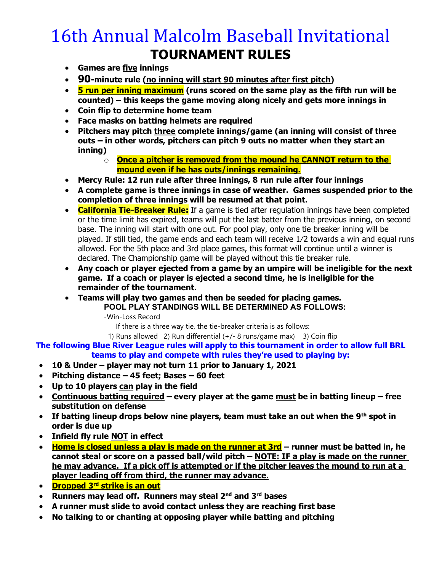### 16th Annual Malcolm Baseball Invitational TOURNAMENT RULES

- Games are five innings
- 90-minute rule (no inning will start 90 minutes after first pitch)
- $\bullet$  5 run per inning maximum (runs scored on the same play as the fifth run will be counted) – this keeps the game moving along nicely and gets more innings in
- Coin flip to determine home team
- Face masks on batting helmets are required
- Pitchers may pitch three complete innings/game (an inning will consist of three outs – in other words, pitchers can pitch 9 outs no matter when they start an inning)
	- $\overline{\text{o}}$  Once a pitcher is removed from the mound he CANNOT return to the mound even if he has outs/innings remaining.
- Mercy Rule: 12 run rule after three innings, 8 run rule after four innings
- A complete game is three innings in case of weather. Games suspended prior to the completion of three innings will be resumed at that point.
- California Tie-Breaker Rule: If a game is tied after regulation innings have been completed or the time limit has expired, teams will put the last batter from the previous inning, on second base. The inning will start with one out. For pool play, only one tie breaker inning will be played. If still tied, the game ends and each team will receive 1⁄2 towards a win and equal runs allowed. For the 5th place and 3rd place games, this format will continue until a winner is declared. The Championship game will be played without this tie breaker rule.
- Any coach or player ejected from a game by an umpire will be ineligible for the next game. If a coach or player is ejected a second time, he is ineligible for the remainder of the tournament.
- Teams will play two games and then be seeded for placing games. POOL PLAY STANDINGS WILL BE DETERMINED AS FOLLOWS:

-Win-Loss Record

If there is a three way tie, the tie-breaker criteria is as follows:

1) Runs allowed 2) Run differential  $(+/- 8$  runs/game max) 3) Coin flip

The following Blue River League rules will apply to this tournament in order to allow full BRL teams to play and compete with rules they're used to playing by:

- 10 & Under player may not turn 11 prior to January 1, 2021
- Pitching distance 45 feet; Bases 60 feet
- Up to 10 players can play in the field
- Continuous batting required every player at the game must be in batting lineup free substitution on defense
- If batting lineup drops below nine players, team must take an out when the 9<sup>th</sup> spot in order is due up
- Infield fly rule NOT in effect
- $\bullet$  Home is closed unless a play is made on the runner at 3rd runner must be batted in, he cannot steal or score on a passed ball/wild pitch - NOTE: IF a play is made on the runner he may advance. If a pick off is attempted or if the pitcher leaves the mound to run at a player leading off from third, the runner may advance.
- Dropped 3<sup>rd</sup> strike is an out
- Runners may lead off. Runners may steal  $2^{nd}$  and  $3^{rd}$  bases
- A runner must slide to avoid contact unless they are reaching first base
- No talking to or chanting at opposing player while batting and pitching